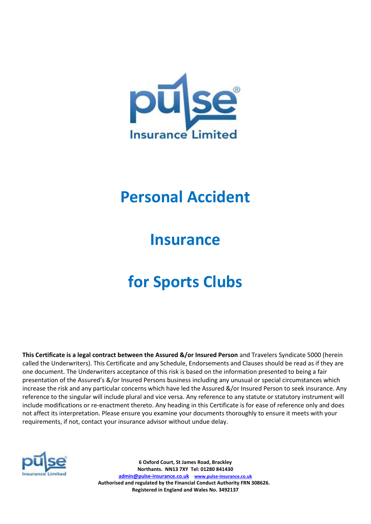

## **Personal Accident**

## **Insurance**

# **for Sports Clubs**

**This Certificate is a legal contract between the Assured &/or Insured Person** and Travelers Syndicate 5000 (herein called the Underwriters). This Certificate and any Schedule, Endorsements and Clauses should be read as if they are one document. The Underwriters acceptance of this risk is based on the information presented to being a fair presentation of the Assured's &/or Insured Persons business including any unusual or special circumstances which increase the risk and any particular concerns which have led the Assured &/or Insured Person to seek insurance. Any reference to the singular will include plural and vice versa. Any reference to any statute or statutory instrument will include modifications or re-enactment thereto. Any heading in this Certificate is for ease of reference only and does not affect its interpretation. Please ensure you examine your documents thoroughly to ensure it meets with your requirements, if not, contact your insurance advisor without undue delay.



**6 Oxford Court, St James Road, Brackley Northants. NN13 7XY Tel: 01280 841430 [admin@pulse-insurance.co.uk](mailto:admin@pulse-insurance.co.uk) [www.pulse-insurance.co.uk](http://www.pulse-insurance.co.uk/) Authorised and regulated by the Financial Conduct Authority FRN 308626. Registered in England and Wales No. 3492137**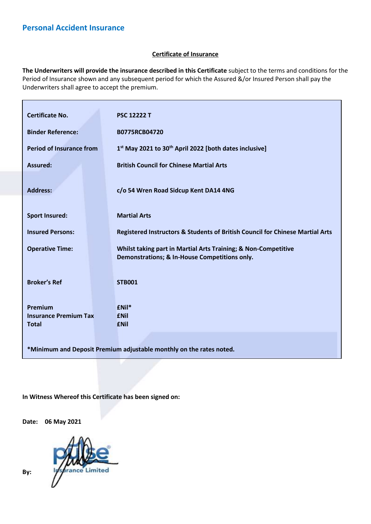## **Certificate of Insurance**

**The Underwriters will provide the insurance described in this Certificate** subject to the terms and conditions for the Period of Insurance shown and any subsequent period for which the Assured &/or Insured Person shall pay the Underwriters shall agree to accept the premium.

| <b>Certificate No.</b>                                              |  | <b>PSC 12222 T</b>                                                                                              |  |  |  |
|---------------------------------------------------------------------|--|-----------------------------------------------------------------------------------------------------------------|--|--|--|
|                                                                     |  |                                                                                                                 |  |  |  |
| <b>Binder Reference:</b>                                            |  | B0775RCB04720                                                                                                   |  |  |  |
| <b>Period of Insurance from</b>                                     |  | 1st May 2021 to 30 <sup>th</sup> April 2022 [both dates inclusive]                                              |  |  |  |
| <b>Assured:</b>                                                     |  | <b>British Council for Chinese Martial Arts</b>                                                                 |  |  |  |
| <b>Address:</b>                                                     |  | c/o 54 Wren Road Sidcup Kent DA14 4NG                                                                           |  |  |  |
| <b>Sport Insured:</b>                                               |  | <b>Martial Arts</b>                                                                                             |  |  |  |
| <b>Insured Persons:</b>                                             |  | Registered Instructors & Students of British Council for Chinese Martial Arts                                   |  |  |  |
| <b>Operative Time:</b>                                              |  | Whilst taking part in Martial Arts Training; & Non-Competitive<br>Demonstrations; & In-House Competitions only. |  |  |  |
|                                                                     |  |                                                                                                                 |  |  |  |
| <b>Broker's Ref</b>                                                 |  | <b>STB001</b>                                                                                                   |  |  |  |
| Premium                                                             |  | $f$ Nil*                                                                                                        |  |  |  |
| <b>Insurance Premium Tax</b>                                        |  | <b>ENil</b>                                                                                                     |  |  |  |
| <b>Total</b>                                                        |  | <b>ENil</b>                                                                                                     |  |  |  |
|                                                                     |  |                                                                                                                 |  |  |  |
|                                                                     |  |                                                                                                                 |  |  |  |
| *Minimum and Deposit Premium adjustable monthly on the rates noted. |  |                                                                                                                 |  |  |  |

**In Witness Whereof this Certificate has been signed on:** 

**Date: 06 May 2021**



**By:**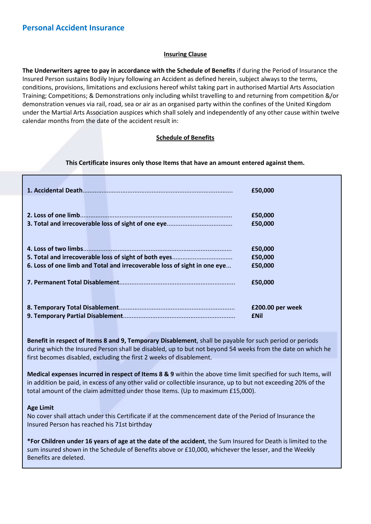## **Insuring Clause**

**The Underwriters agree to pay in accordance with the Schedule of Benefits** if during the Period of Insurance the Insured Person sustains Bodily Injury following an Accident as defined herein, subject always to the terms, conditions, provisions, limitations and exclusions hereof whilst taking part in authorised Martial Arts Association Training; Competitions; & Demonstrations only including whilst travelling to and returning from competition &/or demonstration venues via rail, road, sea or air as an organised party within the confines of the United Kingdom under the Martial Arts Association auspices which shall solely and independently of any other cause within twelve calendar months from the date of the accident result in:

## **Schedule of Benefits**

## **This Certificate insures only those Items that have an amount entered against them.**

|                                                                          | £50,000          |
|--------------------------------------------------------------------------|------------------|
|                                                                          | £50,000          |
|                                                                          | £50,000          |
|                                                                          | £50,000          |
|                                                                          | £50,000          |
| 6. Loss of one limb and Total and irrecoverable loss of sight in one eye | £50,000          |
|                                                                          | £50,000          |
|                                                                          | £200.00 per week |
|                                                                          | <b>ENil</b>      |

**Benefit in respect of Items 8 and 9, Temporary Disablement**, shall be payable for such period or periods during which the Insured Person shall be disabled, up to but not beyond 54 weeks from the date on which he first becomes disabled, excluding the first 2 weeks of disablement.

**Medical expenses incurred in respect of Items 8 & 9** within the above time limit specified for such Items, will in addition be paid, in excess of any other valid or collectible insurance, up to but not exceeding 20% of the total amount of the claim admitted under those Items. (Up to maximum £15,000).

## **Age Limit**

No cover shall attach under this Certificate if at the commencement date of the Period of Insurance the Insured Person has reached his 71st birthday

**\*For Children under 16 years of age at the date of the accident**, the Sum Insured for Death is limited to the sum insured shown in the Schedule of Benefits above or £10,000, whichever the lesser, and the Weekly Benefits are deleted.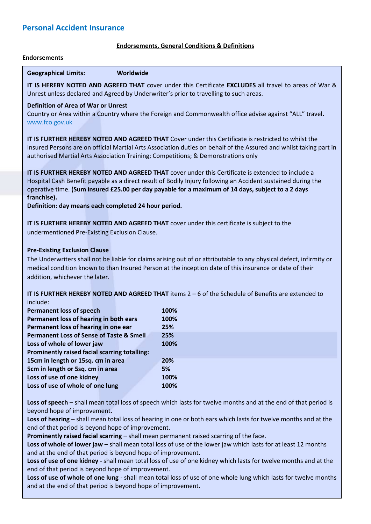## **Endorsements, General Conditions & Definitions**

#### **Endorsements**

**Geographical Limits: Worldwide**

**IT IS HEREBY NOTED AND AGREED THAT** cover under this Certificate **EXCLUDES** all travel to areas of War & Unrest unless declared and Agreed by Underwriter's prior to travelling to such areas.

## **Definition of Area of War or Unrest**

Country or Area within a Country where the Foreign and Commonwealth office advise against "ALL" travel. www.fco.gov.uk

**IT IS FURTHER HEREBY NOTED AND AGREED THAT** Cover under this Certificate is restricted to whilst the Insured Persons are on official Martial Arts Association duties on behalf of the Assured and whilst taking part in authorised Martial Arts Association Training; Competitions; & Demonstrations only

**IT IS FURTHER HEREBY NOTED AND AGREED THAT** cover under this Certificate is extended to include a Hospital Cash Benefit payable as a direct result of Bodily Injury following an Accident sustained during the operative time. **(Sum insured £25.00 per day payable for a maximum of 14 days, subject to a 2 days franchise).**

**Definition: day means each completed 24 hour period.**

**IT IS FURTHER HEREBY NOTED AND AGREED THAT** cover under this certificate is subject to the undermentioned Pre-Existing Exclusion Clause.

## **Pre-Existing Exclusion Clause**

The Underwriters shall not be liable for claims arising out of or attributable to any physical defect, infirmity or medical condition known to than Insured Person at the inception date of this insurance or date of their addition, whichever the later.

**IT IS FURTHER HEREBY NOTED AND AGREED THAT** items 2 – 6 of the Schedule of Benefits are extended to include:

| <b>Permanent loss of speech</b>                      |  | 100% |
|------------------------------------------------------|--|------|
| Permanent loss of hearing in both ears               |  | 100% |
| Permanent loss of hearing in one ear                 |  | 25%  |
| <b>Permanent Loss of Sense of Taste &amp; Smell</b>  |  | 25%  |
| Loss of whole of lower jaw                           |  | 100% |
| <b>Prominently raised facial scarring totalling:</b> |  |      |
| 15cm in length or 15sq. cm in area                   |  | 20%  |
| 5cm in length or 5sq. cm in area                     |  | 5%   |
| Loss of use of one kidney                            |  | 100% |
| Loss of use of whole of one lung                     |  | 100% |

**Loss of speech** – shall mean total loss of speech which lasts for twelve months and at the end of that period is beyond hope of improvement.

**Loss of hearing** – shall mean total loss of hearing in one or both ears which lasts for twelve months and at the end of that period is beyond hope of improvement.

**Prominently raised facial scarring** – shall mean permanent raised scarring of the face.

**Loss of whole of lower jaw** – shall mean total loss of use of the lower jaw which lasts for at least 12 months and at the end of that period is beyond hope of improvement.

**Loss of use of one kidney -** shall mean total loss of use of one kidney which lasts for twelve months and at the end of that period is beyond hope of improvement.

**Loss of use of whole of one lung** - shall mean total loss of use of one whole lung which lasts for twelve months and at the end of that period is beyond hope of improvement.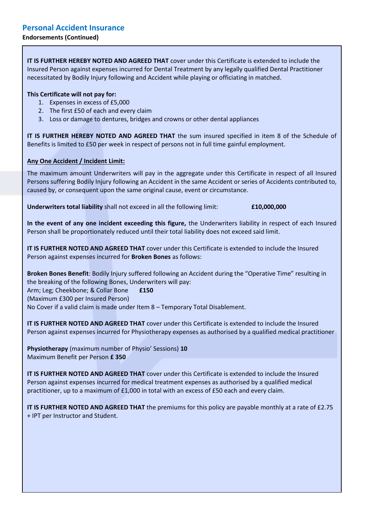## **Endorsements (Continued)**

**IT IS FURTHER HEREBY NOTED AND AGREED THAT** cover under this Certificate is extended to include the Insured Person against expenses incurred for Dental Treatment by any legally qualified Dental Practitioner necessitated by Bodily Injury following and Accident while playing or officiating in matched.

## **This Certificate will not pay for:**

- 1. Expenses in excess of £5,000
- 2. The first £50 of each and every claim
- 3. Loss or damage to dentures, bridges and crowns or other dental appliances

**IT IS FURTHER HEREBY NOTED AND AGREED THAT** the sum insured specified in item 8 of the Schedule of Benefits is limited to £50 per week in respect of persons not in full time gainful employment.

## **Any One Accident / Incident Limit:**

The maximum amount Underwriters will pay in the aggregate under this Certificate in respect of all Insured Persons suffering Bodily Injury following an Accident in the same Accident or series of Accidents contributed to, caused by, or consequent upon the same original cause, event or circumstance.

**Underwriters total liability** shall not exceed in all the following limit: **£10,000,000**

**In the event of any one incident exceeding this figure,** the Underwriters liability in respect of each Insured Person shall be proportionately reduced until their total liability does not exceed said limit.

**IT IS FURTHER NOTED AND AGREED THAT** cover under this Certificate is extended to include the Insured Person against expenses incurred for **Broken Bones** as follows:

**Broken Bones Benefit**: Bodily Injury suffered following an Accident during the "Operative Time" resulting in the breaking of the following Bones, Underwriters will pay: Arm; Leg; Cheekbone; & Collar Bone **£150** (Maximum £300 per Insured Person) No Cover if a valid claim is made under Item 8 – Temporary Total Disablement.

**IT IS FURTHER NOTED AND AGREED THAT** cover under this Certificate is extended to include the Insured Person against expenses incurred for Physiotherapy expenses as authorised by a qualified medical practitioner

**Physiotherapy** (maximum number of Physio' Sessions) **10** Maximum Benefit per Person **£ 350**

**IT IS FURTHER NOTED AND AGREED THAT** cover under this Certificate is extended to include the Insured Person against expenses incurred for medical treatment expenses as authorised by a qualified medical practitioner, up to a maximum of £1,000 in total with an excess of £50 each and every claim.

**IT IS FURTHER NOTED AND AGREED THAT** the premiums for this policy are payable monthly at a rate of £2.75 + IPT per Instructor and Student.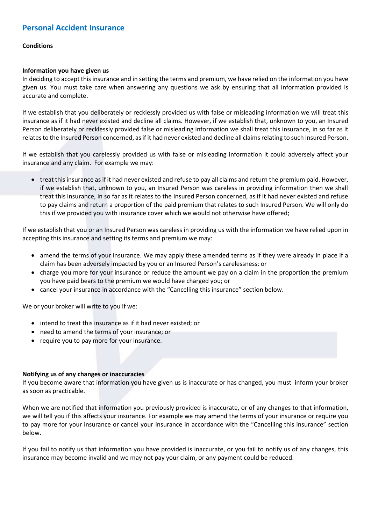## **Conditions**

## **Information you have given us**

In deciding to accept this insurance and in setting the terms and premium, we have relied on the information you have given us. You must take care when answering any questions we ask by ensuring that all information provided is accurate and complete.

If we establish that you deliberately or recklessly provided us with false or misleading information we will treat this insurance as if it had never existed and decline all claims. However, if we establish that, unknown to you, an Insured Person deliberately or recklessly provided false or misleading information we shall treat this insurance, in so far as it relates to the Insured Person concerned, as if it had never existed and decline all claims relating to such Insured Person.

If we establish that you carelessly provided us with false or misleading information it could adversely affect your insurance and any claim. For example we may:

• treat this insurance as if it had never existed and refuse to pay all claims and return the premium paid. However, if we establish that, unknown to you, an Insured Person was careless in providing information then we shall treat this insurance, in so far as it relates to the Insured Person concerned, as if it had never existed and refuse to pay claims and return a proportion of the paid premium that relates to such Insured Person. We will only do this if we provided you with insurance cover which we would not otherwise have offered;

If we establish that you or an Insured Person was careless in providing us with the information we have relied upon in accepting this insurance and setting its terms and premium we may:

- amend the terms of your insurance. We may apply these amended terms as if they were already in place if a claim has been adversely impacted by you or an Insured Person's carelessness; or
- charge you more for your insurance or reduce the amount we pay on a claim in the proportion the premium you have paid bears to the premium we would have charged you; or
- cancel your insurance in accordance with the "Cancelling this insurance" section below.

We or your broker will write to you if we:

- intend to treat this insurance as if it had never existed; or
- need to amend the terms of your insurance; or
- require you to pay more for your insurance.

## **Notifying us of any changes or inaccuracies**

If you become aware that information you have given us is inaccurate or has changed, you must inform your broker as soon as practicable.

When we are notified that information you previously provided is inaccurate, or of any changes to that information, we will tell you if this affects your insurance. For example we may amend the terms of your insurance or require you to pay more for your insurance or cancel your insurance in accordance with the "Cancelling this insurance" section below.

If you fail to notify us that information you have provided is inaccurate, or you fail to notify us of any changes, this insurance may become invalid and we may not pay your claim, or any payment could be reduced.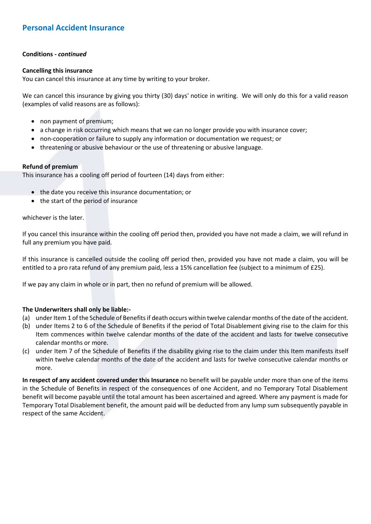## **Conditions -** *continued*

## **Cancelling this insurance**

You can cancel this insurance at any time by writing to your broker.

We can cancel this insurance by giving you thirty (30) days' notice in writing. We will only do this for a valid reason (examples of valid reasons are as follows):

- non payment of premium;
- a change in risk occurring which means that we can no longer provide you with insurance cover;
- non-cooperation or failure to supply any information or documentation we request; or
- threatening or abusive behaviour or the use of threatening or abusive language.

## **Refund of premium**

This insurance has a cooling off period of fourteen (14) days from either:

- the date you receive this insurance documentation; or
- the start of the period of insurance

## whichever is the later.

If you cancel this insurance within the cooling off period then, provided you have not made a claim, we will refund in full any premium you have paid.

If this insurance is cancelled outside the cooling off period then, provided you have not made a claim, you will be entitled to a pro rata refund of any premium paid, less a 15% cancellation fee (subject to a minimum of £25).

If we pay any claim in whole or in part, then no refund of premium will be allowed.

## **The Underwriters shall only be liable:-**

- (a) under Item 1 of the Schedule of Benefits if death occurs within twelve calendar months of the date of the accident.
- (b) under Items 2 to 6 of the Schedule of Benefits if the period of Total Disablement giving rise to the claim for this Item commences within twelve calendar months of the date of the accident and lasts for twelve consecutive calendar months or more.
- (c) under Item 7 of the Schedule of Benefits if the disability giving rise to the claim under this Item manifests itself within twelve calendar months of the date of the accident and lasts for twelve consecutive calendar months or more.

**In respect of any accident covered under this Insurance** no benefit will be payable under more than one of the items in the Schedule of Benefits in respect of the consequences of one Accident, and no Temporary Total Disablement benefit will become payable until the total amount has been ascertained and agreed. Where any payment is made for Temporary Total Disablement benefit, the amount paid will be deducted from any lump sum subsequently payable in respect of the same Accident.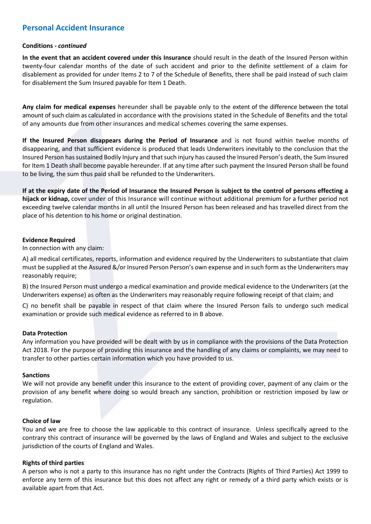## **Conditions -** *continued*

**In the event that an accident covered under this Insurance** should result in the death of the Insured Person within twenty-four calendar months of the date of such accident and prior to the definite settlement of a claim for disablement as provided for under Items 2 to 7 of the Schedule of Benefits, there shall be paid instead of such claim for disablement the Sum Insured payable for Item 1 Death.

**Any claim for medical expenses** hereunder shall be payable only to the extent of the difference between the total amount of such claim as calculated in accordance with the provisions stated in the Schedule of Benefits and the total of any amounts due from other insurances and medical schemes covering the same expenses.

**If the Insured Person disappears during the Period of Insurance** and is not found within twelve months of disappearing, and that sufficient evidence is produced that leads Underwriters inevitably to the conclusion that the Insured Person has sustained Bodily Injury and that such injury has caused the Insured Person's death, the Sum Insured for Item 1 Death shall become payable hereunder. If at any time after such payment the Insured Person shall be found to be living, the sum thus paid shall be refunded to the Underwriters.

**If at the expiry date of the Period of Insurance the Insured Person is subject to the control of persons effecting a hijack or kidnap,** cover under of this Insurance will continue without additional premium for a further period not exceeding twelve calendar months in all until the Insured Person has been released and has travelled direct from the place of his detention to his home or original destination.

## **Evidence Required**

In connection with any claim:

A) all medical certificates, reports, information and evidence required by the Underwriters to substantiate that claim must be supplied at the Assured &/or Insured Person Person's own expense and in such form as the Underwriters may reasonably require;

B) the Insured Person must undergo a medical examination and provide medical evidence to the Underwriters (at the Underwriters expense) as often as the Underwriters may reasonably require following receipt of that claim; and

C) no benefit shall be payable in respect of that claim where the Insured Person fails to undergo such medical examination or provide such medical evidence as referred to in B above.

## **Data Protection**

Any information you have provided will be dealt with by us in compliance with the provisions of the Data Protection Act 2018. For the purpose of providing this insurance and the handling of any claims or complaints, we may need to transfer to other parties certain information which you have provided to us.

#### **Sanctions**

We will not provide any benefit under this insurance to the extent of providing cover, payment of any claim or the provision of any benefit where doing so would breach any sanction, prohibition or restriction imposed by law or regulation.

## **Choice of law**

You and we are free to choose the law applicable to this contract of insurance. Unless specifically agreed to the contrary this contract of insurance will be governed by the laws of England and Wales and subject to the exclusive jurisdiction of the courts of England and Wales.

## **Rights of third parties**

A person who is not a party to this insurance has no right under the Contracts (Rights of Third Parties) Act 1999 to enforce any term of this insurance but this does not affect any right or remedy of a third party which exists or is available apart from that Act.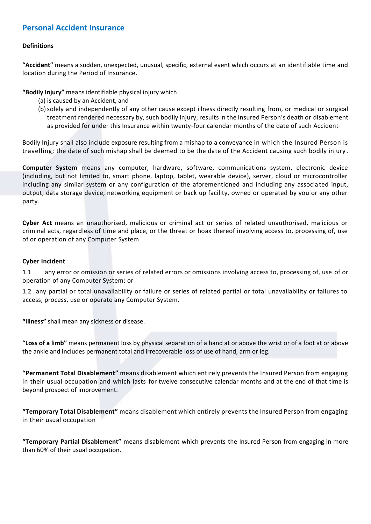## **Definitions**

**"Accident"** means a sudden, unexpected, unusual, specific, external event which occurs at an identifiable time and location during the Period of Insurance.

**"Bodily Injury"** means identifiable physical injury which

- (a) is caused by an Accident, and
- (b)solely and independently of any other cause except illness directly resulting from, or medical or surgical treatment rendered necessary by, such bodily injury, results in the Insured Person's death or disablement as provided for under this Insurance within twenty-four calendar months of the date of such Accident

Bodily Injury shall also include exposure resulting from a mishap to a conveyance in which the Insured Person is travelling; the date of such mishap shall be deemed to be the date of the Accident causing such bodily injury .

**Computer System** means any computer, hardware, software, communications system, electronic device (including, but not limited to, smart phone, laptop, tablet, wearable device), server, cloud or microcontroller including any similar system or any configuration of the aforementioned and including any associa ted input, output, data storage device, networking equipment or back up facility, owned or operated by you or any other party.

**Cyber Act** means an unauthorised, malicious or criminal act or series of related unauthorised, malicious or criminal acts, regardless of time and place, or the threat or hoax thereof involving access to, processing of, use of or operation of any Computer System.

## **Cyber Incident**

1.1 any error or omission or series of related errors or omissions involving access to, processing of, use of or operation of any Computer System; or

1.2 any partial or total unavailability or failure or series of related partial or total unavailability or failures to access, process, use or operate any Computer System.

**"Illness"** shall mean any sickness or disease.

**"Loss of a limb"** means permanent loss by physical separation of a hand at or above the wrist or of a foot at or above the ankle and includes permanent total and irrecoverable loss of use of hand, arm or leg.

**"Permanent Total Disablement"** means disablement which entirely prevents the Insured Person from engaging in their usual occupation and which lasts for twelve consecutive calendar months and at the end of that time is beyond prospect of improvement.

**"Temporary Total Disablement"** means disablement which entirely prevents the Insured Person from engaging in their usual occupation

**"Temporary Partial Disablement"** means disablement which prevents the Insured Person from engaging in more than 60% of their usual occupation.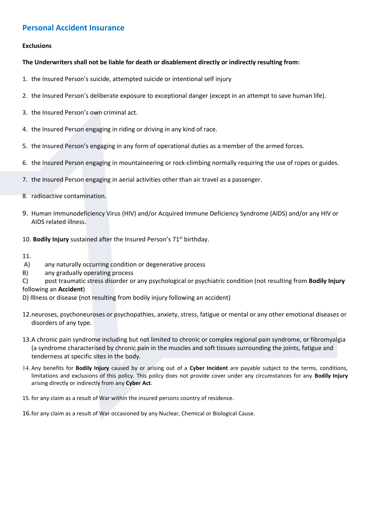## **Exclusions**

## **The Underwriters shall not be liable for death or disablement directly or indirectly resulting from:**

- 1. the Insured Person's suicide, attempted suicide or intentional self injury
- 2. the Insured Person's deliberate exposure to exceptional danger (except in an attempt to save human life).
- 3. the Insured Person's own criminal act.
- 4. the Insured Person engaging in riding or driving in any kind of race.
- 5. the Insured Person's engaging in any form of operational duties as a member of the armed forces.
- 6. the Insured Person engaging in mountaineering or rock-climbing normally requiring the use of ropes or guides.
- 7. the Insured Person engaging in aerial activities other than air travel as a passenger.
- 8. radioactive contamination.
- 9. Human Immunodeficiency Virus (HIV) and/or Acquired Immune Deficiency Syndrome (AIDS) and/or any HIV or AIDS related illness.
- 10. **Bodily Injury** sustained after the Insured Person's 71<sup>st</sup> birthday.

11.

- A) any naturally occurring condition or degenerative process
- B) any gradually operating process
- C) post traumatic stress disorder or any psychological or psychiatric condition (not resulting from **Bodily Injury** following an **Accident**)
- D) Illness or disease (not resulting from bodily injury following an accident)
- 12.neuroses, psychoneuroses or psychopathies, anxiety, stress, fatigue or mental or any other emotional diseases or disorders of any type.
- 13.A chronic pain syndrome including but not limited to chronic or complex regional pain syndrome, or fibromyalgia (a syndrome characterised by chronic pain in the muscles and soft tissues surrounding the joints, fatigue and tenderness at specific sites in the body.
- 14. Any benefits for **Bodily Injury** caused by or arising out of a **Cyber Incident** are payable subject to the terms, conditions, limitations and exclusions of this policy. This policy does not provide cover under any circumstances for any **Bodily Injury** arising directly or indirectly from any **Cyber Act**.
- 15. for any claim as a result of War within the insured persons country of residence.
- 16.for any claim as a result of War occasioned by any Nuclear, Chemical or Biological Cause.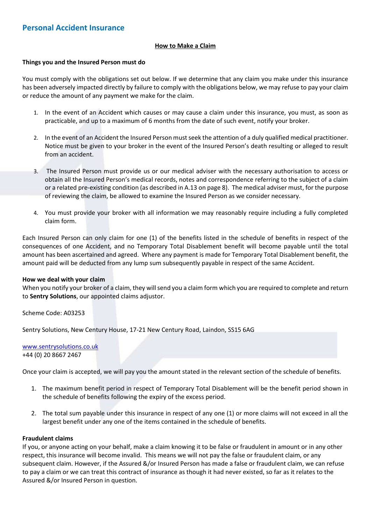## **How to Make a Claim**

## **Things you and the Insured Person must do**

You must comply with the obligations set out below. If we determine that any claim you make under this insurance has been adversely impacted directly by failure to comply with the obligations below, we may refuse to pay your claim or reduce the amount of any payment we make for the claim.

- 1. In the event of an Accident which causes or may cause a claim under this insurance, you must, as soon as practicable, and up to a maximum of 6 months from the date of such event, notify your broker.
- 2. In the event of an Accident the Insured Person must seek the attention of a duly qualified medical practitioner. Notice must be given to your broker in the event of the Insured Person's death resulting or alleged to result from an accident.
- 3. The Insured Person must provide us or our medical adviser with the necessary authorisation to access or obtain all the Insured Person's medical records, notes and correspondence referring to the subject of a claim or a related pre-existing condition (as described in A.13 on page 8). The medical adviser must, for the purpose of reviewing the claim, be allowed to examine the Insured Person as we consider necessary.
- 4. You must provide your broker with all information we may reasonably require including a fully completed claim form.

Each Insured Person can only claim for one (1) of the benefits listed in the schedule of benefits in respect of the consequences of one Accident, and no Temporary Total Disablement benefit will become payable until the total amount has been ascertained and agreed. Where any payment is made for Temporary Total Disablement benefit, the amount paid will be deducted from any lump sum subsequently payable in respect of the same Accident.

## **How we deal with your claim**

When you notify your broker of a claim, they will send you a claim form which you are required to complete and return to **Sentry Solutions**, our appointed claims adjustor.

Scheme Code: A03253

Sentry Solutions, New Century House, 17-21 New Century Road, Laindon, SS15 6AG

#### [www.sentrysolutions.co.uk](http://www.sentrysolutions.co.uk/) +44 (0) 20 8667 2467

Once your claim is accepted, we will pay you the amount stated in the relevant section of the schedule of benefits.

- 1. The maximum benefit period in respect of Temporary Total Disablement will be the benefit period shown in the schedule of benefits following the expiry of the excess period.
- 2. The total sum payable under this insurance in respect of any one (1) or more claims will not exceed in all the largest benefit under any one of the items contained in the schedule of benefits.

## **Fraudulent claims**

If you, or anyone acting on your behalf, make a claim knowing it to be false or fraudulent in amount or in any other respect, this insurance will become invalid. This means we will not pay the false or fraudulent claim, or any subsequent claim. However, if the Assured &/or Insured Person has made a false or fraudulent claim, we can refuse to pay a claim or we can treat this contract of insurance as though it had never existed, so far as it relates to the Assured &/or Insured Person in question.